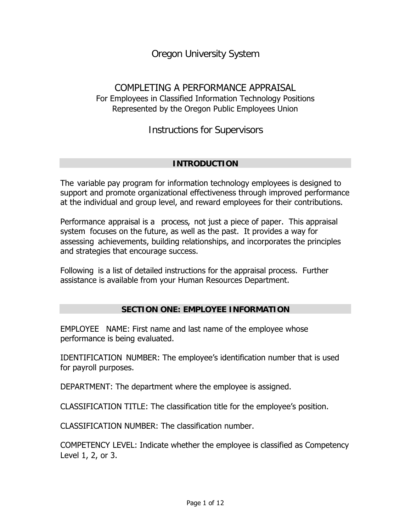# *Oregon University System*

## COMPLETING A PERFORMANCE APPRAISAL For Employees in Classified Information Technology Positions Represented by the Oregon Public Employees Union

*Instructions for Supervisors*

## **INTRODUCTION**

The variable pay program for information technology employees is designed to support and promote organizational effectiveness through improved performance at the individual and group level, and reward employees for their contributions.

Performance appraisal is a *process*, not just a piece of paper. This appraisal system focuses on the future, as well as the past. It provides a way for assessing achievements, building relationships, and incorporates the principles and strategies that encourage success.

Following is a list of detailed instructions for the appraisal process. Further assistance is available from your Human Resources Department.

## **SECTION ONE: EMPLOYEE INFORMATION**

EMPLOYEE NAME: First name and last name of the employee whose performance is being evaluated.

IDENTIFICATION NUMBER: The employee's identification number that is used for payroll purposes.

DEPARTMENT: The department where the employee is assigned.

CLASSIFICATION TITLE: The classification title for the employee's position.

CLASSIFICATION NUMBER: The classification number.

COMPETENCY LEVEL: Indicate whether the employee is classified as Competency Level 1, 2, or 3.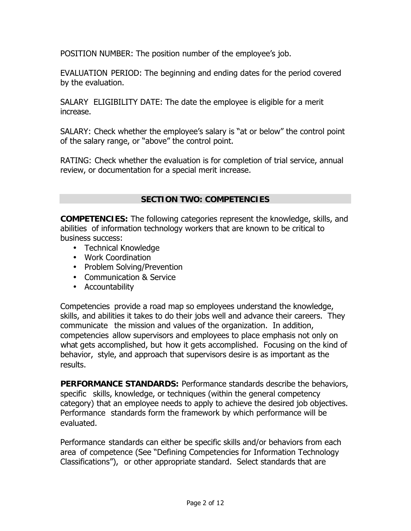POSITION NUMBER: The position number of the employee's job.

EVALUATION PERIOD: The beginning and ending dates for the period covered by the evaluation.

SALARY ELIGIBILITY DATE: The date the employee is eligible for a merit increase.

SALARY: Check whether the employee's salary is "at or below" the control point of the salary range, or "above" the control point.

RATING: Check whether the evaluation is for completion of trial service, annual review, or documentation for a special merit increase.

## **SECTION TWO: COMPETENCIES**

**COMPETENCIES:** The following categories represent the knowledge, skills, and abilities of information technology workers that are known to be critical to business success:

- Technical Knowledge
- Work Coordination
- Problem Solving/Prevention
- Communication & Service
- Accountability

Competencies provide a road map so employees understand the knowledge, skills, and abilities it takes to do their jobs well and advance their careers. They communicate the mission and values of the organization. In addition, competencies allow supervisors and employees to place emphasis not only on *what* gets accomplished, but *how* it gets accomplished. Focusing on the kind of behavior, style, and approach that supervisors desire is as important as the results.

**PERFORMANCE STANDARDS:** Performance standards describe the behaviors, specific skills, knowledge, or techniques (within the general competency category) that an employee needs to apply to achieve the desired job objectives. Performance standards form the framework by which performance will be evaluated.

Performance standards can either be specific skills and/or behaviors from each area of competence (See "Defining Competencies for Information Technology Classifications"), or other appropriate standard. Select standards that are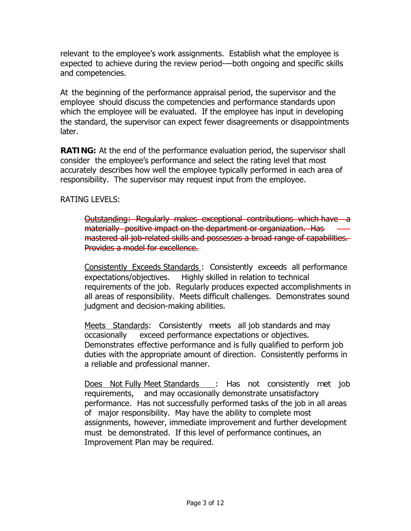relevant to the employee's work assignments. Establish what the employee is expected to achieve during the review period-—both ongoing and specific skills and competencies.

At the beginning of the performance appraisal period, the supervisor and the employee should discuss the competencies and performance standards upon which the employee will be evaluated. If the employee has input in developing the standard, the supervisor can expect fewer disagreements or disappointments later.

**RATING:** At the end of the performance evaluation period, the supervisor shall consider the employee's performance and select the rating level that most accurately describes how well the employee typically performed in each area of responsibility. The supervisor may request input from the employee.

RATING LEVELS:

Outstanding: *Regularly makes exceptional contributions* which have a materially positive impact on the department or organization. Has mastered all job-related skills and possesses a broad range of capabilities. Provides a model for excellence.

Consistently Exceeds Standards : *Consistently exceeds* all performance expectations/objectives. Highly skilled in relation to technical requirements of the job. Regularly produces expected accomplishments in all areas of responsibility. Meets difficult challenges. Demonstrates sound judgment and decision-making abilities.

Meets Standards: *Consistently meets* all job standards and may occasionally exceed performance expectations or objectives. Demonstrates effective performance and is fully qualified to perform job duties with the appropriate amount of direction. Consistently performs in a reliable and professional manner.

Does Not Fully Meet Standards : *Has not consistently met* job requirements, and may occasionally demonstrate unsatisfactory performance. Has not successfully performed tasks of the job in all areas of major responsibility. May have the ability to complete most assignments, however, immediate improvement and further development must be demonstrated. If this level of performance continues, an Improvement Plan may be required.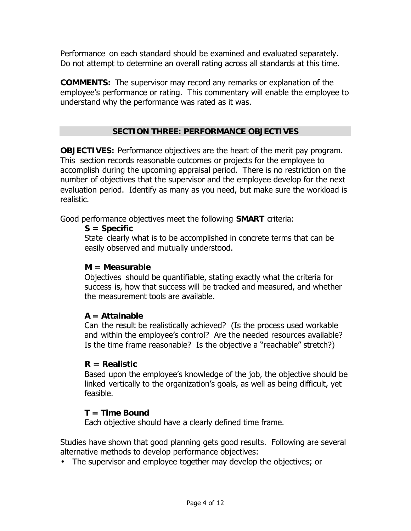Performance on each standard should be examined and evaluated separately. Do not attempt to determine an overall rating across all standards at this time.

**COMMENTS:** The supervisor may record any remarks or explanation of the employee's performance or rating. This commentary will enable the employee to understand why the performance was rated as it was.

## **SECTION THREE: PERFORMANCE OBJECTIVES**

**OBJECTIVES:** Performance objectives are the heart of the merit pay program. This section records reasonable outcomes or projects for the employee to accomplish during the upcoming appraisal period. There is no restriction on the number of objectives that the supervisor and the employee develop for the next evaluation period. Identify as many as you need, but make sure the workload is realistic.

Good performance objectives meet the following **SMART** criteria:

## **S = Specific**

State clearly what is to be accomplished in concrete terms that can be easily observed and mutually understood.

#### **M = Measurable**

Objectives should be quantifiable, stating exactly what the criteria for success is, how that success will be tracked and measured, and whether the measurement tools are available.

## **A = Attainable**

Can the result be realistically achieved? (Is the process used workable and within the employee's control? Are the needed resources available? Is the time frame reasonable? Is the objective a "reachable" stretch?)

## **R = Realistic**

Based upon the employee's knowledge of the job, the objective should be linked vertically to the organization's goals, as well as being difficult, yet feasible.

#### **T = Time Bound**

Each objective should have a clearly defined time frame.

Studies have shown that good planning gets good results. Following are several alternative methods to develop performance objectives:

• The supervisor and employee *together* may develop the objectives; or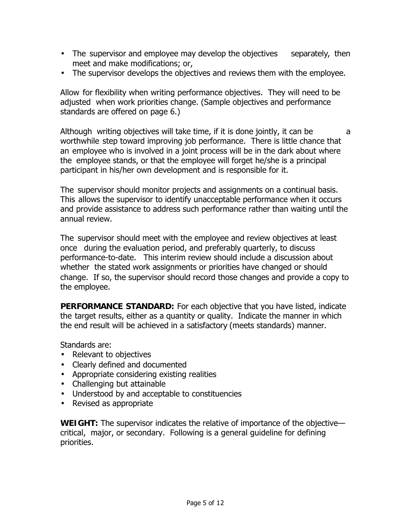- The supervisor and employee may develop the objectives *separately*, then meet and make modifications; or,
- The supervisor develops the objectives and *reviews* them with the employee.

Allow for flexibility when writing performance objectives. They will need to be adjusted when work priorities change. (Sample objectives and performance standards are offered on page 6.)

Although writing objectives will take time, if it is done jointly, it can be a worthwhile step toward improving job performance. There is little chance that an employee who is involved in a joint process will be in the dark about where the employee stands, or that the employee will forget he/she is a principal participant in his/her own development and is responsible for it.

The supervisor should monitor projects and assignments on a continual basis. This allows the supervisor to identify unacceptable performance when it occurs and provide assistance to address such performance rather than waiting until the annual review.

The supervisor should meet with the employee and review objectives at least once during the evaluation period, and preferably quarterly, to discuss performance-to-date. This interim review should include a discussion about whether the stated work assignments or priorities have changed or should change. If so, the supervisor should record those changes and provide a copy to the employee.

**PERFORMANCE STANDARD:** For each objective that you have listed, indicate the target results, either as a quantity or quality. Indicate the manner in which the end result will be achieved in a *satisfactory* (meets standards) manner.

Standards are:

- Relevant to objectives
- Clearly defined and documented
- Appropriate considering existing realities
- Challenging but attainable
- Understood by and acceptable to constituencies
- Revised as appropriate

**WEIGHT:** The supervisor indicates the relative of importance of the objective critical, major, or secondary. Following is a general guideline for defining priorities.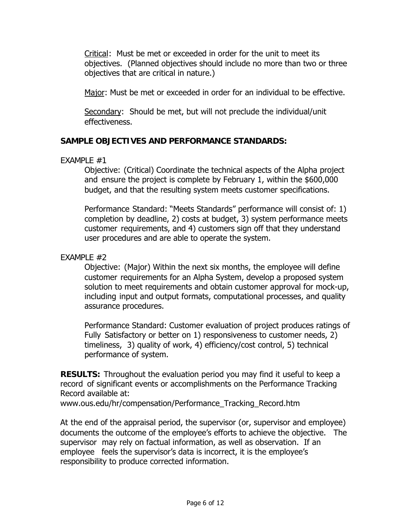Critical: Must be met or exceeded in order for the unit to meet its objectives. (Planned objectives should include no more than two or three objectives that are critical in nature.)

Major: Must be met or exceeded in order for an individual to be effective.

Secondary: Should be met, but will not preclude the individual/unit effectiveness.

## **SAMPLE OBJECTIVES AND PERFORMANCE STANDARDS:**

#### *EXAMPLE #1*

Objective: (Critical) Coordinate the technical aspects of the Alpha project and ensure the project is complete by February 1, within the \$600,000 budget, and that the resulting system meets customer specifications.

Performance Standard: "Meets Standards" performance will consist of: 1) completion by deadline, 2) costs at budget, 3) system performance meets customer requirements, and 4) customers sign off that they understand user procedures and are able to operate the system.

## *EXAMPLE #2*

Objective: (Major) Within the next six months, the employee will define customer requirements for an Alpha System, develop a proposed system solution to meet requirements and obtain customer approval for mock-up, including input and output formats, computational processes, and quality assurance procedures.

Performance Standard: Customer evaluation of project produces ratings of Fully Satisfactory or better on 1) responsiveness to customer needs, 2) timeliness, 3) quality of work, 4) efficiency/cost control, 5) technical performance of system.

**RESULTS:** Throughout the evaluation period you may find it useful to keep a record of significant events or accomplishments on the Performance Tracking Record available at:

www.ous.edu/hr/compensation/Performance\_Tracking\_Record.htm

At the end of the appraisal period, the supervisor (or, supervisor and employee) documents the outcome of the employee's efforts to achieve the objective. The supervisor may rely on factual information, as well as observation. If an employee feels the supervisor's data is incorrect, it is the employee's responsibility to produce corrected information.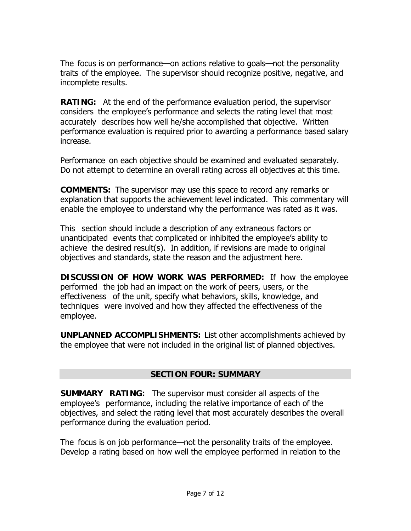The focus is on performance—on actions relative to goals—not the personality traits of the employee. The supervisor should recognize positive, negative, and incomplete results.

**RATING:** At the end of the performance evaluation period, the supervisor considers the employee's performance and selects the rating level that most accurately describes how well he/she accomplished that objective. Written performance evaluation is required prior to awarding a performance based salary increase.

Performance on each objective should be examined and evaluated separately. Do not attempt to determine an overall rating across all objectives at this time.

**COMMENTS:** The supervisor may use this space to record any remarks or explanation that supports the achievement level indicated. This commentary will enable the employee to understand why the performance was rated as it was.

This section should include a description of any extraneous factors or unanticipated events that complicated or inhibited the employee's ability to achieve the desired result(s). In addition, if revisions are made to original objectives and standards, state the reason and the adjustment here.

**DISCUSSION OF HOW WORK WAS PERFORMED:** If *how* the employee performed the job had an impact on the work of peers, users, or the effectiveness of the unit, specify what behaviors, skills, knowledge, and techniques were involved and how they affected the effectiveness of the employee.

**UNPLANNED ACCOMPLISHMENTS:** List other accomplishments achieved by the employee that were not included in the original list of planned objectives.

## **SECTION FOUR: SUMMARY**

**SUMMARY RATING:** The supervisor must consider all aspects of the employee's performance, including the relative importance of each of the objectives, and select the rating level that most accurately describes the overall performance during the evaluation period.

The focus is on job performance—not the personality traits of the employee. Develop a rating based on how well the employee performed in relation to the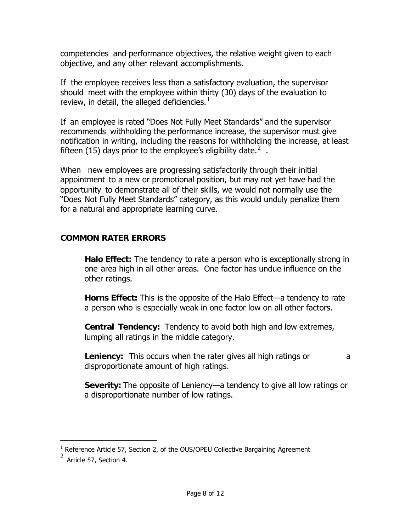competencies and performance objectives, the relative weight given to each objective, and any other relevant accomplishments.

If the employee receives less than a satisfactory evaluation, the supervisor should meet with the employee within thirty (30) days of the evaluation to review, in detail, the alleged deficiencies. $<sup>1</sup>$ </sup>

If an employee is rated "Does Not Fully Meet Standards" and the supervisor recommends withholding the performance increase, the supervisor must give notification in writing, including the reasons for withholding the increase, at least fifteen (15) days prior to the employee's eligibility date.<sup>2</sup>.

When new employees are progressing satisfactorily through their initial appointment to a new or promotional position, but may not yet have had the opportunity to demonstrate all of their skills, we would not normally use the "Does Not Fully Meet Standards" category, as this would unduly penalize them for a natural and appropriate learning curve.

## **COMMON RATER ERRORS**

**Halo Effect:** The tendency to rate a person who is exceptionally strong in one area high in all other areas. One factor has undue influence on the other ratings.

**Horns Effect:** This is the opposite of the Halo Effect—a tendency to rate a person who is especially weak in one factor low on all other factors.

**Central Tendency:** Tendency to avoid both high and low extremes, lumping all ratings in the middle category.

**Leniency:** This occurs when the rater gives all high ratings or a disproportionate amount of high ratings.

**Severity:** The opposite of Leniency—a tendency to give all low ratings or a disproportionate number of low ratings.

 $\ddot{\phantom{a}}$ 

 $<sup>1</sup>$  Reference Article 57, Section 2, of the OUS/OPEU Collective Bargaining Agreement</sup>

 $^2$  Article 57, Section 4.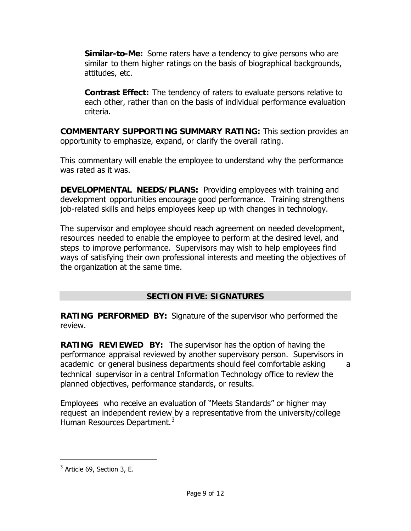**Similar-to-Me:** Some raters have a tendency to give persons who are similar to them higher ratings on the basis of biographical backgrounds, attitudes, etc.

**Contrast Effect:** The tendency of raters to evaluate persons relative to each other, rather than on the basis of individual performance evaluation criteria.

**COMMENTARY SUPPORTING SUMMARY RATING:** This section provides an opportunity to emphasize, expand, or clarify the overall rating.

This commentary will enable the employee to understand why the performance was rated as it was.

**DEVELOPMENTAL NEEDS/PLANS:** Providing employees with training and development opportunities encourage good performance. Training strengthens job-related skills and helps employees keep up with changes in technology.

The supervisor and employee should reach agreement on needed development, resources needed to enable the employee to perform at the desired level, and steps to improve performance. Supervisors may wish to help employees find ways of satisfying their own professional interests and meeting the objectives of the organization at the same time.

## **SECTION FIVE: SIGNATURES**

**RATING PERFORMED BY:** Signature of the supervisor who performed the review.

**RATING REVIEWED BY:** The supervisor has the option of having the performance appraisal reviewed by another supervisory person. Supervisors in academic or general business departments should feel comfortable asking a technical supervisor in a central Information Technology office to review the planned objectives, performance standards, or results.

Employees who receive an evaluation of "Meets Standards" or higher may request an independent review by a representative from the university/college Human Resources Department.<sup>3</sup>

-

 $3$  Article 69, Section 3, E.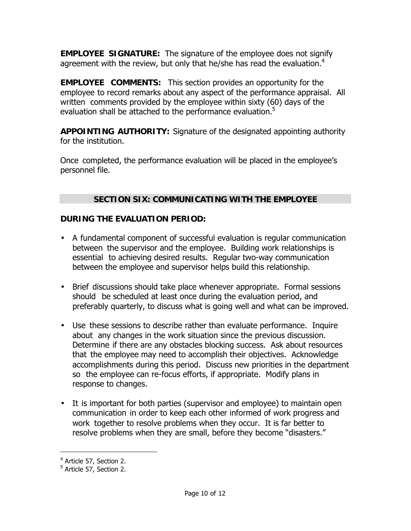**EMPLOYEE SIGNATURE:** The signature of the employee does not signify agreement with the review, but only that he/she has read the evaluation.<sup>4</sup>

**EMPLOYEE COMMENTS:** This section provides an opportunity for the employee to record remarks about any aspect of the performance appraisal. All written comments provided by the employee within sixty (60) days of the evaluation shall be attached to the performance evaluation.<sup>5</sup>

**APPOINTING AUTHORITY:** Signature of the designated appointing authority for the institution.

Once completed, the performance evaluation will be placed in the employee's personnel file.

## **SECTION SIX: COMMUNICATING WITH THE EMPLOYEE**

## **DURING THE EVALUATION PERIOD:**

- A fundamental component of successful evaluation is regular communication between the supervisor and the employee. Building work relationships is essential to achieving desired results. Regular two-way communication between the employee and supervisor helps build this relationship.
- Brief discussions should take place whenever appropriate. Formal sessions should be scheduled at least once during the evaluation period, and preferably quarterly, to discuss what is going well and what can be improved.
- Use these sessions to describe rather than evaluate performance. Inquire about any changes in the work situation since the previous discussion. Determine if there are any obstacles blocking success. Ask about resources that the employee may need to accomplish their objectives. Acknowledge accomplishments during this period. Discuss new priorities in the department so the employee can re-focus efforts, if appropriate. Modify plans in response to changes.
- It is important for both parties (supervisor and employee) to maintain open communication in order to keep each other informed of work progress and work together to resolve problems when they occur. It is far better to resolve problems when they are small, before they become "disasters."

 $\ddot{\phantom{a}}$ 

<sup>&</sup>lt;sup>4</sup> Article 57, Section 2.

<sup>&</sup>lt;sup>5</sup> Article 57, Section 2.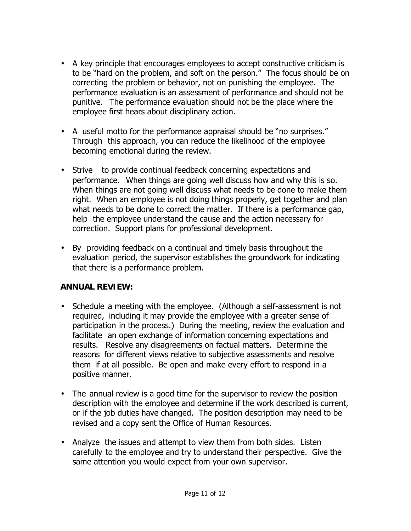- A key principle that encourages employees to accept constructive criticism is to be "hard on the problem, and soft on the person." The focus should be on correcting the problem or behavior, not on punishing the employee. The performance evaluation is an assessment of performance and should not be punitive. The performance evaluation should not be the place where the employee first hears about disciplinary action.
- A useful motto for the performance appraisal should be "no surprises." Through this approach, you can reduce the likelihood of the employee becoming emotional during the review.
- Strive to provide continual feedback concerning expectations and performance. When things are going well discuss how and why this is so. When things are not going well discuss what needs to be done to make them right. When an employee is not doing things properly, get together and plan what needs to be done to correct the matter. If there is a performance gap, help the employee understand the cause and the action necessary for correction. Support plans for professional development.
- By providing feedback on a continual and timely basis throughout the evaluation period, the supervisor establishes the groundwork for indicating that there is a performance problem.

## **ANNUAL REVIEW:**

- Schedule a meeting with the employee. (Although a self-assessment is not required, including it may provide the employee with a greater sense of participation in the process.) During the meeting, review the evaluation and facilitate an open exchange of information concerning expectations and results. Resolve any disagreements on factual matters. Determine the reasons for different views relative to subjective assessments and resolve them if at all possible. Be open and make every effort to respond in a positive manner.
- The annual review is a good time for the supervisor to review the position description with the employee and determine if the work described is current, or if the job duties have changed. The position description may need to be revised and a copy sent the Office of Human Resources.
- Analyze the issues and attempt to view them from both sides. Listen carefully to the employee and try to understand their perspective. Give the same attention you would expect from your own supervisor.